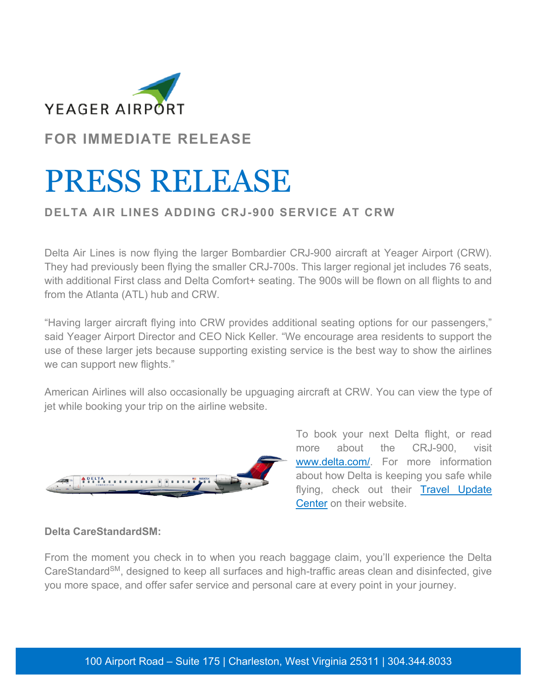

**FOR IMMEDIATE RELEASE**

## PRESS RELEASE

## **DELTA AIR LINES ADDING CRJ-900 SERVICE AT CRW**

Delta Air Lines is now flying the larger Bombardier CRJ-900 aircraft at Yeager Airport (CRW). They had previously been flying the smaller CRJ-700s. This larger regional jet includes 76 seats, with additional First class and Delta Comfort+ seating. The 900s will be flown on all flights to and from the Atlanta (ATL) hub and CRW.

"Having larger aircraft flying into CRW provides additional seating options for our passengers," said Yeager Airport Director and CEO Nick Keller. "We encourage area residents to support the use of these larger jets because supporting existing service is the best way to show the airlines we can support new flights."

American Airlines will also occasionally be upguaging aircraft at CRW. You can view the type of jet while booking your trip on the airline website.



To book your next Delta flight, or read more about the CRJ-900, visit www.delta.com/. For more information about how Delta is keeping you safe while flying, check out their Travel Update Center on their website.

## **Delta CareStandardSM:**

From the moment you check in to when you reach baggage claim, you'll experience the Delta CareStandard<sup>SM</sup>, designed to keep all surfaces and high-traffic areas clean and disinfected, give you more space, and offer safer service and personal care at every point in your journey.